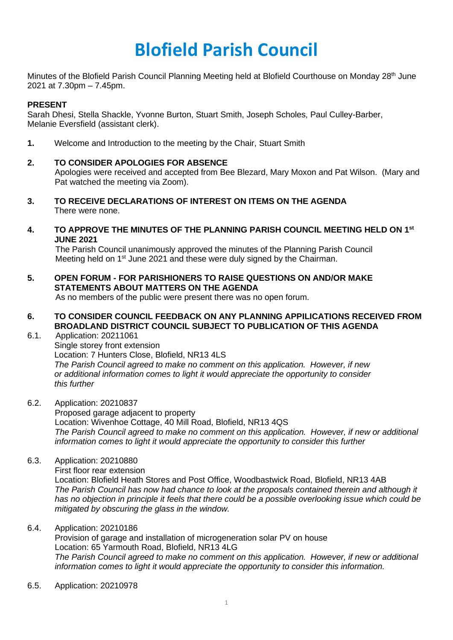## **Blofield Parish Council**

Minutes of the Blofield Parish Council Planning Meeting held at Blofield Courthouse on Monday 28<sup>th</sup> June 2021 at 7.30pm – 7.45pm.

## **PRESENT**

Sarah Dhesi, Stella Shackle, Yvonne Burton, Stuart Smith, Joseph Scholes, Paul Culley-Barber, Melanie Eversfield (assistant clerk).

**1.** Welcome and Introduction to the meeting by the Chair, Stuart Smith

## **2. TO CONSIDER APOLOGIES FOR ABSENCE**

Apologies were received and accepted from Bee Blezard, Mary Moxon and Pat Wilson. (Mary and Pat watched the meeting via Zoom).

- **3. TO RECEIVE DECLARATIONS OF INTEREST ON ITEMS ON THE AGENDA** There were none.
- **4. TO APPROVE THE MINUTES OF THE PLANNING PARISH COUNCIL MEETING HELD ON 1st JUNE 2021**

The Parish Council unanimously approved the minutes of the Planning Parish Council Meeting held on 1<sup>st</sup> June 2021 and these were duly signed by the Chairman.

**5. OPEN FORUM - FOR PARISHIONERS TO RAISE QUESTIONS ON AND/OR MAKE STATEMENTS ABOUT MATTERS ON THE AGENDA** 

As no members of the public were present there was no open forum.

- **6. TO CONSIDER COUNCIL FEEDBACK ON ANY PLANNING APPILICATIONS RECEIVED FROM BROADLAND DISTRICT COUNCIL SUBJECT TO PUBLICATION OF THIS AGENDA**
- 6.1. Application: 20211061 Single storey front extension Location: 7 Hunters Close, Blofield, NR13 4LS *The Parish Council agreed to make no comment on this application. However, if new or additional information comes to light it would appreciate the opportunity to consider this further*
- 6.2. Application: 20210837

Proposed garage adjacent to property Location: Wivenhoe Cottage, 40 Mill Road, Blofield, NR13 4QS *The Parish Council agreed to make no comment on this application. However, if new or additional information comes to light it would appreciate the opportunity to consider this further*

6.3. Application: 20210880

First floor rear extension

Location: Blofield Heath Stores and Post Office, Woodbastwick Road, Blofield, NR13 4AB *The Parish Council has now had chance to look at the proposals contained therein and although it has no objection in principle it feels that there could be a possible overlooking issue which could be mitigated by obscuring the glass in the window.* 

6.4. Application: 20210186

Provision of garage and installation of microgeneration solar PV on house Location: 65 Yarmouth Road, Blofield, NR13 4LG *The Parish Council agreed to make no comment on this application. However, if new or additional information comes to light it would appreciate the opportunity to consider this information.* 

6.5. Application: 20210978